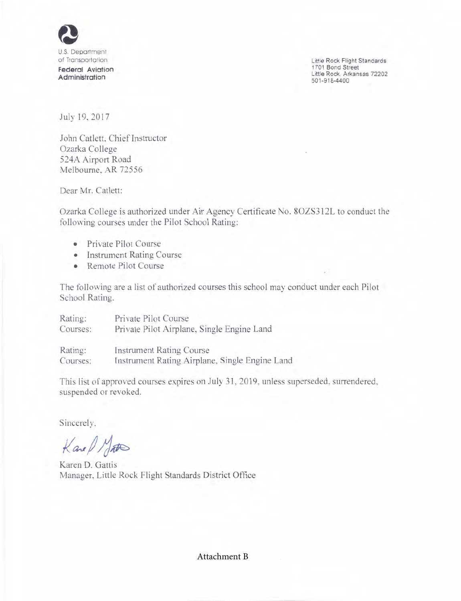

Little Rock Flight Standards 1701 Bond Street Little Rock, Arkansas 72202 501-9184400

.

July 19, 2017

John Catlett, Chief Instructor Ozarka College 524A Airport Road Melbourne. AR 72556

Dear Mr. Catlett:

Ozarka College is authorized under Air Agency Certificate No. 8OZS3l2L to conduct the following courses under the Pilot School Rating:

- o Private Pilot Course
- o Instrument Rating Course
- Remote Pilot Course

The following are a list of authorized courses this school may conduct under each Pilot School Rating.

| Rating:  | Private Pilot Course                           |
|----------|------------------------------------------------|
| Courses: | Private Pilot Airplane, Single Engine Land     |
| Rating:  | <b>Instrument Rating Course</b>                |
| Courses: | Instrument Rating Airplane, Single Engine Land |

This list of approved courses expires on July 31,2019, unless superseded, surrendered, suspended or revoked.

Sincerely,

 $\operatorname{Kac}\nolimits/\operatorname{Mat}$ 

Karen D. Gattis Manager, Little Rock Flight Standards District Office

Attachment B